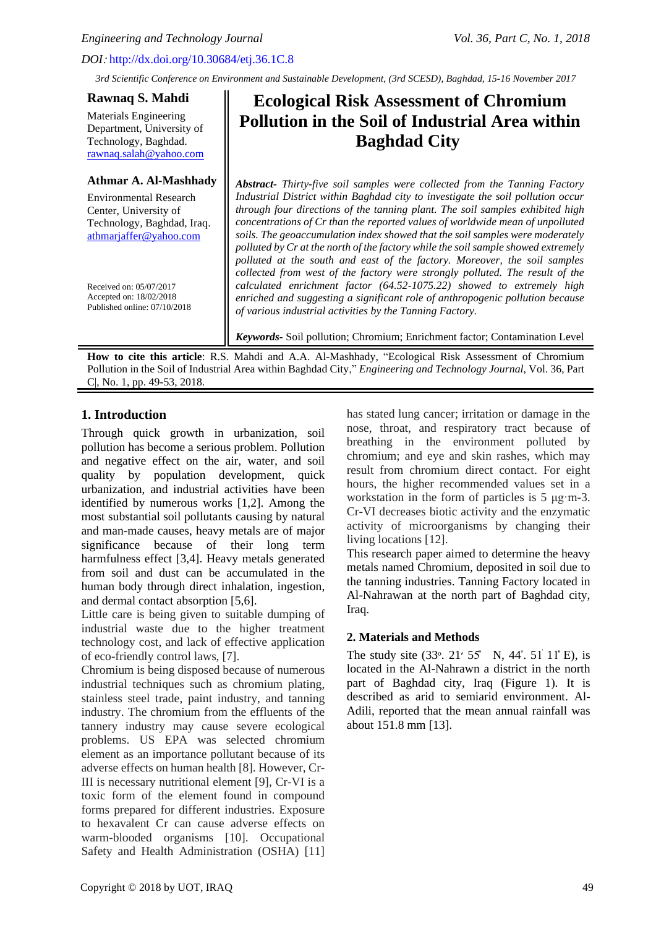*Engineering and Technology Journal Vol. 36, Part C, No. 1, 2018* 

# *DOI*: http://dx.doi.org/10.30684/etj.36.1C.8

*3rd Scientific Conference on Environment and Sustainable Development, (3rd SCESD), Baghdad, 15-16 November 2017*

## **Rawnaq S. Mahdi**

Materials Engineering Department, University of Technology, Baghdad. [rawnaq.salah@yahoo.com](mailto:rawnaq.salah@yahoo.com)

## **Athmar A. Al-Mashhady**

Environmental Research Center, University of Technology, Baghdad, Iraq. [athmarjaffer@yahoo.com](mailto:athmarjaffer@yahoo.com)

Received on: 05/07/2017 Accepted on: 18/02/2018 Published online: 07/10/2018

# **Ecological Risk Assessment of Chromium Pollution in the Soil of Industrial Area within Baghdad City**

*Abstract- Thirty-five soil samples were collected from the Tanning Factory Industrial District within Baghdad city to investigate the soil pollution occur through four directions of the tanning plant. The soil samples exhibited high concentrations of Cr than the reported values of worldwide mean of unpolluted soils. The geoaccumulation index showed that the soil samples were moderately polluted by Cr at the north of the factory while the soil sample showed extremely polluted at the south and east of the factory. Moreover, the soil samples collected from west of the factory were strongly polluted. The result of the calculated enrichment factor (64.52-1075.22) showed to extremely high enriched and suggesting a significant role of anthropogenic pollution because of various industrial activities by the Tanning Factory.*

*Keywords-* Soil pollution; Chromium; Enrichment factor; Contamination Level

**How to cite this article**: R.S. Mahdi and A.A. Al-Mashhady, "Ecological Risk Assessment of Chromium Pollution in the Soil of Industrial Area within Baghdad City," *Engineering and Technology Journal*, Vol. 36, Part C|, No. 1, pp. 49-53, 2018.

# **1. Introduction**

Through quick growth in urbanization, soil pollution has become a serious problem. Pollution and negative effect on the air, water, and soil quality by population development, quick urbanization, and industrial activities have been identified by numerous works [1,2]. Among the most substantial soil pollutants causing by natural and man-made causes, heavy metals are of major significance because of their long term harmfulness effect [3,4]. Heavy metals generated from soil and dust can be accumulated in the human body through direct inhalation, ingestion, and dermal contact absorption [5,6].

Little care is being given to suitable dumping of industrial waste due to the higher treatment technology cost, and lack of effective application of eco-friendly control laws, [7].

Chromium is being disposed because of numerous industrial techniques such as chromium plating, stainless steel trade, paint industry, and tanning industry. The chromium from the effluents of the tannery industry may cause severe ecological problems. US EPA was selected chromium element as an importance pollutant because of its adverse effects on human health [8]. However, Cr-III is necessary nutritional element [9], Cr-VI is a toxic form of the element found in compound forms prepared for different industries. Exposure to hexavalent Cr can cause adverse effects on warm-blooded organisms [10]. Occupational Safety and Health Administration (OSHA) [11]

has stated lung cancer; irritation or damage in the nose, throat, and respiratory tract because of breathing in the environment polluted by chromium; and eye and skin rashes, which may result from chromium direct contact. For eight hours, the higher recommended values set in a workstation in the form of particles is 5 μg·m-3. Cr-VI decreases biotic activity and the enzymatic activity of microorganisms by changing their living locations [12].

This research paper aimed to determine the heavy metals named Chromium, deposited in soil due to the tanning industries. Tanning Factory located in Al-Nahrawan at the north part of Baghdad city, Iraq.

# **2. Materials and Methods**

The study site  $(33^{\circ}. 21' 55' N, 44^{\circ}. 51' 11' E)$ , is located in the Al-Nahrawn a district in the north part of Baghdad city, Iraq (Figure 1). It is described as arid to semiarid environment. Al-Adili, reported that the mean annual rainfall was about 151.8 mm [13].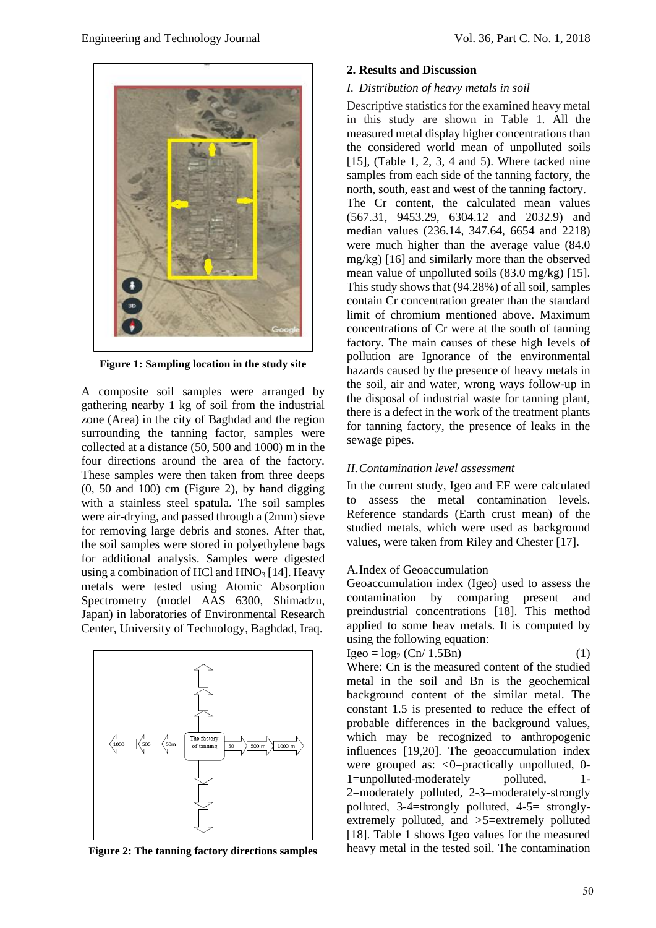

**Figure 1: Sampling location in the study site**

A composite soil samples were arranged by gathering nearby 1 kg of soil from the industrial zone (Area) in the city of Baghdad and the region surrounding the tanning factor, samples were collected at a distance (50, 500 and 1000) m in the four directions around the area of the factory. These samples were then taken from three deeps (0, 50 and 100) cm (Figure 2), by hand digging with a stainless steel spatula. The soil samples were air-drying, and passed through a (2mm) sieve for removing large debris and stones. After that, the soil samples were stored in polyethylene bags for additional analysis. Samples were digested using a combination of HCl and  $HNO<sub>3</sub>$  [14]. Heavy metals were tested using Atomic Absorption Spectrometry (model AAS 6300, Shimadzu, Japan) in laboratories of Environmental Research Center, University of Technology, Baghdad, Iraq.



**Figure 2: The tanning factory directions samples**

#### **2. Results and Discussion**

#### *I. Distribution of heavy metals in soil*

Descriptive statistics for the examined heavy metal in this study are shown in Table 1. All the measured metal display higher concentrations than the considered world mean of unpolluted soils [15], (Table 1, 2, 3, 4 and 5). Where tacked nine samples from each side of the tanning factory, the north, south, east and west of the tanning factory. The Cr content, the calculated mean values (567.31, 9453.29, 6304.12 and 2032.9) and median values (236.14, 347.64, 6654 and 2218) were much higher than the average value (84.0 mg/kg) [16] and similarly more than the observed mean value of unpolluted soils (83.0 mg/kg) [15]. This study shows that (94.28%) of all soil, samples contain Cr concentration greater than the standard limit of chromium mentioned above. Maximum concentrations of Cr were at the south of tanning factory. The main causes of these high levels of pollution are Ignorance of the environmental hazards caused by the presence of heavy metals in the soil, air and water, wrong ways follow-up in the disposal of industrial waste for tanning plant, there is a defect in the work of the treatment plants for tanning factory, the presence of leaks in the sewage pipes.

## *II.Contamination level assessment*

In the current study, Igeo and EF were calculated to assess the metal contamination levels. Reference standards (Earth crust mean) of the studied metals, which were used as background values, were taken from Riley and Chester [17].

#### A.Index of Geoaccumulation

Geoaccumulation index (Igeo) used to assess the contamination by comparing present and preindustrial concentrations [18]. This method applied to some heav metals. It is computed by using the following equation:

$$
Igeo = log2 (Cn/ 1.5Bn)
$$
 (1)

Where: Cn is the measured content of the studied metal in the soil and Bn is the geochemical background content of the similar metal. The constant 1.5 is presented to reduce the effect of probable differences in the background values, which may be recognized to anthropogenic influences [19,20]. The geoaccumulation index were grouped as: *<*0=practically unpolluted, 0- 1=unpolluted-moderately polluted, 2=moderately polluted, 2-3=moderately-strongly polluted, 3-4=strongly polluted, 4-5= stronglyextremely polluted, and *>*5=extremely polluted [18]. Table 1 shows Igeo values for the measured heavy metal in the tested soil. The contamination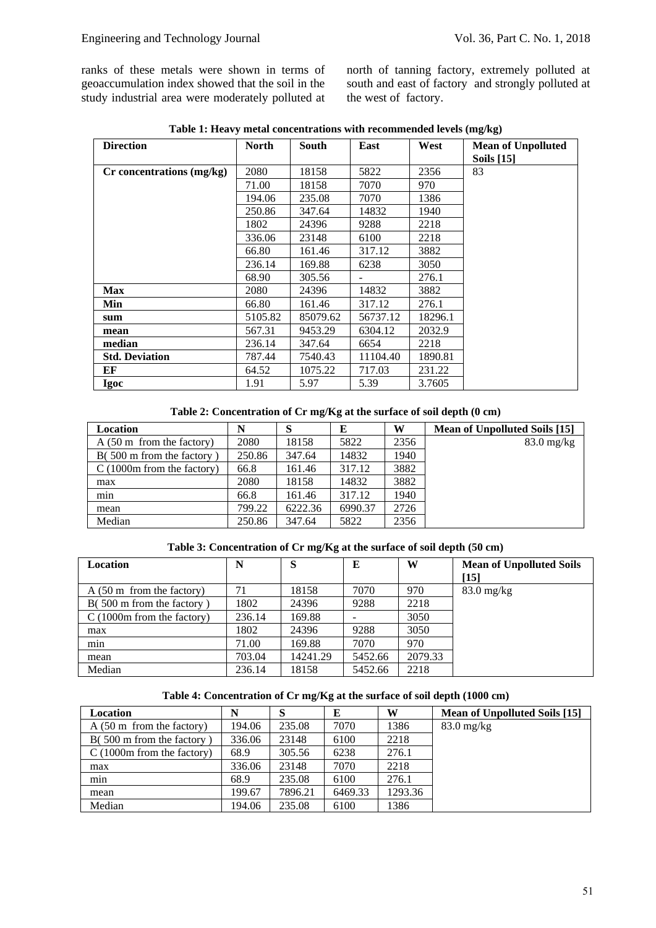ranks of these metals were shown in terms of geoaccumulation index showed that the soil in the study industrial area were moderately polluted at north of tanning factory, extremely polluted at south and east of factory and strongly polluted at the west of factory.

| <b>Direction</b>          | <b>North</b> | South    | West<br>East |         | <b>Mean of Unpolluted</b> |
|---------------------------|--------------|----------|--------------|---------|---------------------------|
|                           |              |          |              |         | <b>Soils</b> [15]         |
| Cr concentrations (mg/kg) | 2080         | 18158    | 5822         | 2356    | 83                        |
|                           | 71.00        | 18158    | 7070         | 970     |                           |
|                           | 194.06       | 235.08   | 7070         | 1386    |                           |
|                           | 250.86       | 347.64   | 14832        | 1940    |                           |
|                           | 1802         | 24396    | 9288         | 2218    |                           |
|                           | 336.06       | 23148    | 6100         | 2218    |                           |
|                           | 66.80        | 161.46   | 317.12       | 3882    |                           |
|                           | 236.14       | 169.88   | 6238         | 3050    |                           |
|                           | 68.90        | 305.56   |              | 276.1   |                           |
| <b>Max</b>                | 2080         | 24396    | 14832        | 3882    |                           |
| Min                       | 66.80        | 161.46   | 317.12       | 276.1   |                           |
| sum                       | 5105.82      | 85079.62 | 56737.12     | 18296.1 |                           |
| mean                      | 567.31       | 9453.29  | 6304.12      | 2032.9  |                           |
| median                    | 236.14       | 347.64   | 6654         | 2218    |                           |
| <b>Std. Deviation</b>     | 787.44       | 7540.43  | 11104.40     | 1890.81 |                           |
| EF                        | 64.52        | 1075.22  | 717.03       | 231.22  |                           |
| <b>Igoc</b>               | 1.91         | 5.97     | 5.39         | 3.7605  |                           |

**Table 1: Heavy metal concentrations with recommended levels (mg/kg)**

#### **Table 2: Concentration of Cr mg/Kg at the surface of soil depth (0 cm)**

| Location                            | N      | S       | Е       | W    | Mean of Unpolluted Soils [15] |
|-------------------------------------|--------|---------|---------|------|-------------------------------|
| $A(50 \text{ m from the factory})$  | 2080   | 18158   | 5822    | 2356 | $83.0$ mg/kg                  |
| $B(500 \text{ m from the factory})$ | 250.86 | 347.64  | 14832   | 1940 |                               |
| $C(1000m$ from the factory)         | 66.8   | 161.46  | 317.12  | 3882 |                               |
| max                                 | 2080   | 18158   | 14832   | 3882 |                               |
| min                                 | 66.8   | 161.46  | 317.12  | 1940 |                               |
| mean                                | 799.22 | 6222.36 | 6990.37 | 2726 |                               |
| Median                              | 250.86 | 347.64  | 5822    | 2356 |                               |

#### **Table 3: Concentration of Cr mg/Kg at the surface of soil depth (50 cm)**

| Location                            | N      | S        | E       | W       | <b>Mean of Unpolluted Soils</b><br>[15] |
|-------------------------------------|--------|----------|---------|---------|-----------------------------------------|
|                                     |        |          |         |         |                                         |
| $A(50 \text{ m from the factory})$  | 71     | 18158    | 7070    | 970     | $83.0$ mg/kg                            |
| $B(500 \text{ m from the factory})$ | 1802   | 24396    | 9288    | 2218    |                                         |
| $C(1000m$ from the factory)         | 236.14 | 169.88   |         | 3050    |                                         |
| max                                 | 1802   | 24396    | 9288    | 3050    |                                         |
| min                                 | 71.00  | 169.88   | 7070    | 970     |                                         |
| mean                                | 703.04 | 14241.29 | 5452.66 | 2079.33 |                                         |
| Median                              | 236.14 | 18158    | 5452.66 | 2218    |                                         |

#### **Table 4: Concentration of Cr mg/Kg at the surface of soil depth (1000 cm)**

| Location                            | N      |         | E       | W       | Mean of Unpolluted Soils [15] |
|-------------------------------------|--------|---------|---------|---------|-------------------------------|
| $A(50 \text{ m from the factory})$  | 194.06 | 235.08  | 7070    | 1386    | $83.0$ mg/kg                  |
| $B(500 \text{ m from the factory})$ | 336.06 | 23148   | 6100    | 2218    |                               |
| $C(1000m$ from the factory)         | 68.9   | 305.56  | 6238    | 276.1   |                               |
| max                                 | 336.06 | 23148   | 7070    | 2218    |                               |
| min                                 | 68.9   | 235.08  | 6100    | 276.1   |                               |
| mean                                | 199.67 | 7896.21 | 6469.33 | 1293.36 |                               |
| Median                              | 194.06 | 235.08  | 6100    | 1386    |                               |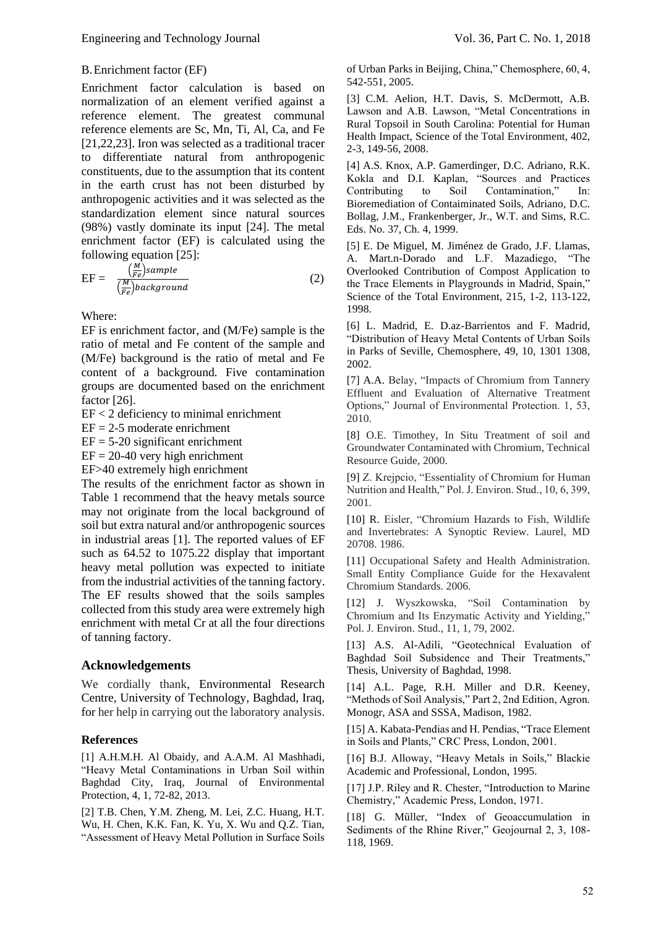### B.Enrichment factor (EF)

Enrichment factor calculation is based on normalization of an element verified against a reference element. The greatest communal reference elements are Sc, Mn, Ti, Al, Ca, and Fe [21,22,23]. Iron was selected as a traditional tracer to differentiate natural from anthropogenic constituents, due to the assumption that its content in the earth crust has not been disturbed by anthropogenic activities and it was selected as the standardization element since natural sources (98%) vastly dominate its input [24]. The metal enrichment factor (EF) is calculated using the following equation [25]:

$$
EF = \frac{\left(\frac{M}{re}\right)sample}{\left(\frac{N}{re}\right)background} \tag{2}
$$

Where:

EF is enrichment factor, and (M/Fe) sample is the ratio of metal and Fe content of the sample and (M/Fe) background is the ratio of metal and Fe content of a background. Five contamination groups are documented based on the enrichment factor [26].

EF < 2 deficiency to minimal enrichment

 $EF = 2-5$  moderate enrichment

 $EF = 5-20$  significant enrichment

 $EF = 20-40$  very high enrichment

EF>40 extremely high enrichment

The results of the enrichment factor as shown in Table 1 recommend that the heavy metals source may not originate from the local background of soil but extra natural and/or anthropogenic sources in industrial areas [1]. The reported values of EF such as 64.52 to 1075.22 display that important heavy metal pollution was expected to initiate from the industrial activities of the tanning factory. The EF results showed that the soils samples collected from this study area were extremely high enrichment with metal Cr at all the four directions of tanning factory.

#### **Acknowledgements**

We cordially thank, Environmental Research Centre, University of Technology, Baghdad, Iraq, for her help in carrying out the laboratory analysis.

#### **References**

[1] A.H.M.H. Al Obaidy, and A.A.M. Al Mashhadi, "Heavy Metal Contaminations in Urban Soil within Baghdad City, Iraq, Journal of Environmental Protection, 4, 1, 72-82, 2013.

[2] T.B. Chen, Y.M. Zheng, M. Lei, Z.C. Huang, H.T. Wu, H. Chen, K.K. Fan, K. Yu, X. Wu and Q.Z. Tian, "Assessment of Heavy Metal Pollution in Surface Soils of Urban Parks in Beijing, China," Chemosphere, 60, 4, 542-551, 2005.

[3] C.M. Aelion, H.T. Davis, S. McDermott, A.B. Lawson and A.B. Lawson, "Metal Concentrations in Rural Topsoil in South Carolina: Potential for Human Health Impact, Science of the Total Environment, 402, 2-3, 149-56, 2008.

[4] A.S. Knox, A.P. Gamerdinger, D.C. Adriano, R.K. Kokla and D.I. Kaplan, "Sources and Practices Contributing to Soil Contamination," In: Bioremediation of Contaiminated Soils, Adriano, D.C. Bollag, J.M., Frankenberger, Jr., W.T. and Sims, R.C. Eds. No. 37, Ch. 4, 1999.

[5] E. De Miguel, M. Jiménez de Grado, J.F. Llamas, A. Mart.n-Dorado and L.F. Mazadiego, "The Overlooked Contribution of Compost Application to the Trace Elements in Playgrounds in Madrid, Spain," Science of the Total Environment, 215, 1-2, 113-122, 1998.

[6] L. Madrid, E. D.az-Barrientos and F. Madrid, "Distribution of Heavy Metal Contents of Urban Soils in Parks of Seville, Chemosphere, 49, 10, 1301 1308, 2002.

[7] A.A. Belay, "Impacts of Chromium from Tannery Effluent and Evaluation of Alternative Treatment Options," Journal of Environmental Protection. 1, 53, 2010.

[8] O.E. Timothey, In Situ Treatment of soil and Groundwater Contaminated with Chromium, Technical Resource Guide, 2000.

[9] Z. Krejpcio, "Essentiality of Chromium for Human Nutrition and Health," Pol. J. Environ. Stud., 10, 6, 399, 2001.

[10] R. Eisler, "Chromium Hazards to Fish, Wildlife and Invertebrates: A Synoptic Review. Laurel, MD 20708. 1986.

[11] Occupational Safety and Health Administration. Small Entity Compliance Guide for the Hexavalent Chromium Standards. 2006.

[12] J. Wyszkowska, "Soil Contamination by Chromium and Its Enzymatic Activity and Yielding," Pol. J. Environ. Stud., 11, 1, 79, 2002.

[13] A.S. Al-Adili, "Geotechnical Evaluation of Baghdad Soil Subsidence and Their Treatments," Thesis, University of Baghdad, 1998.

[14] A.L. Page, R.H. Miller and D.R. Keeney, "Methods of Soil Analysis," Part 2, 2nd Edition, Agron. Monogr, ASA and SSSA, Madison, 1982.

[15] A. Kabata-Pendias and H. Pendias, "Trace Element in Soils and Plants," CRC Press, London, 2001.

[16] B.J. Alloway, "Heavy Metals in Soils," Blackie Academic and Professional, London, 1995.

[17] J.P. Riley and R. Chester, "Introduction to Marine Chemistry," Academic Press, London, 1971.

[18] G. Müller, "Index of Geoaccumulation in Sediments of the Rhine River," Geojournal 2, 3, 108-118, 1969.